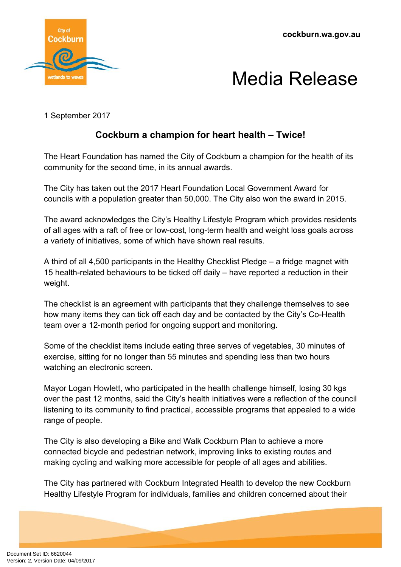



1 September 2017

## **Cockburn a champion for heart health – Twice!**

The Heart Foundation has named the City of Cockburn a champion for the health of its community for the second time, in its annual awards.

The City has taken out the 2017 Heart Foundation Local Government Award for councils with a population greater than 50,000. The City also won the award in 2015.

The award acknowledges the City's Healthy Lifestyle Program which provides residents of all ages with a raft of free or low-cost, long-term health and weight loss goals across a variety of initiatives, some of which have shown real results.

A third of all 4,500 participants in the Healthy Checklist Pledge – a fridge magnet with 15 health-related behaviours to be ticked off daily – have reported a reduction in their weight.

The checklist is an agreement with participants that they challenge themselves to see how many items they can tick off each day and be contacted by the City's Co-Health team over a 12-month period for ongoing support and monitoring.

Some of the checklist items include eating three serves of vegetables, 30 minutes of exercise, sitting for no longer than 55 minutes and spending less than two hours watching an electronic screen.

Mayor Logan Howlett, who participated in the health challenge himself, losing 30 kgs over the past 12 months, said the City's health initiatives were a reflection of the council listening to its community to find practical, accessible programs that appealed to a wide range of people.

The City is also developing a Bike and Walk Cockburn Plan to achieve a more connected bicycle and pedestrian network, improving links to existing routes and making cycling and walking more accessible for people of all ages and abilities.

The City has partnered with Cockburn Integrated Health to develop the new Cockburn Healthy Lifestyle Program for individuals, families and children concerned about their

Document Set ID: 6620044<br>Version: 2, Version Date: 04/09/2017